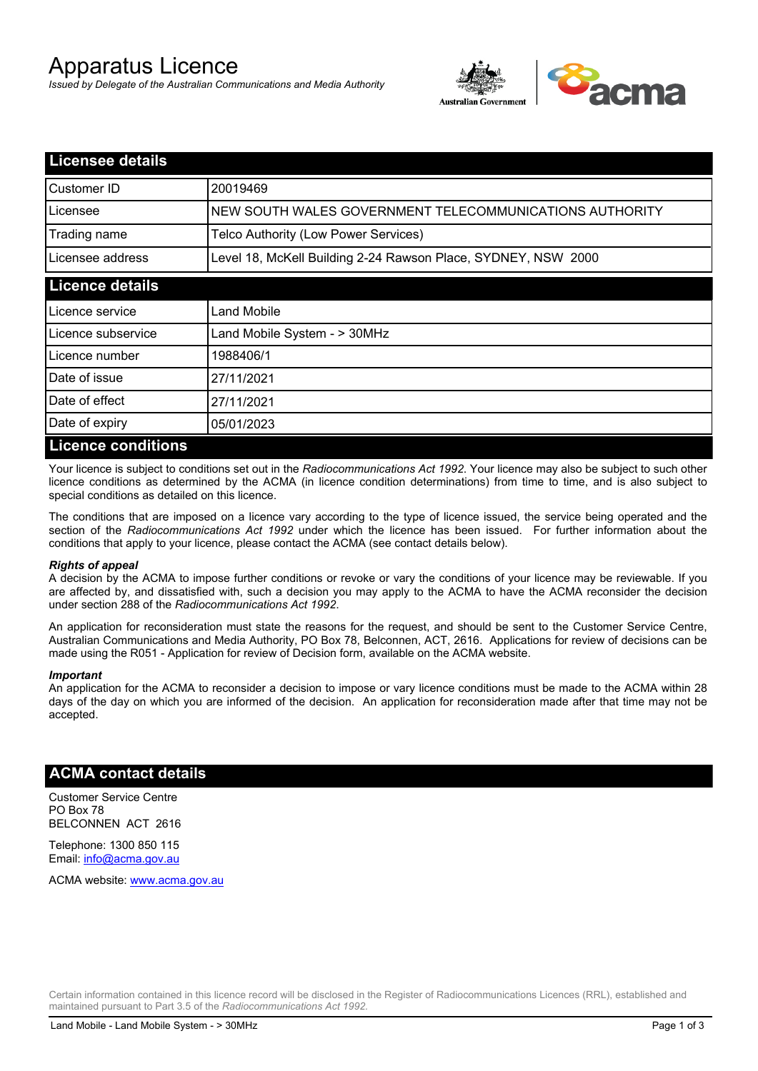# Apparatus Licence

*Issued by Delegate of the Australian Communications and Media Authority*



| <b>Licensee details</b>   |                                                               |  |
|---------------------------|---------------------------------------------------------------|--|
| Customer ID               | 20019469                                                      |  |
| Licensee                  | NEW SOUTH WALES GOVERNMENT TELECOMMUNICATIONS AUTHORITY       |  |
| Trading name              | Telco Authority (Low Power Services)                          |  |
| Licensee address          | Level 18, McKell Building 2-24 Rawson Place, SYDNEY, NSW 2000 |  |
| <b>Licence details</b>    |                                                               |  |
| l Licence service         | Land Mobile                                                   |  |
| Licence subservice        | Land Mobile System - > 30MHz                                  |  |
| Licence number            | 1988406/1                                                     |  |
| Date of issue             | 27/11/2021                                                    |  |
| Date of effect            | 27/11/2021                                                    |  |
| Date of expiry            | 05/01/2023                                                    |  |
| <b>Licence conditions</b> |                                                               |  |

Your licence is subject to conditions set out in the *Radiocommunications Act 1992*. Your licence may also be subject to such other licence conditions as determined by the ACMA (in licence condition determinations) from time to time, and is also subject to special conditions as detailed on this licence.

The conditions that are imposed on a licence vary according to the type of licence issued, the service being operated and the section of the *Radiocommunications Act 1992* under which the licence has been issued. For further information about the conditions that apply to your licence, please contact the ACMA (see contact details below).

#### *Rights of appeal*

A decision by the ACMA to impose further conditions or revoke or vary the conditions of your licence may be reviewable. If you are affected by, and dissatisfied with, such a decision you may apply to the ACMA to have the ACMA reconsider the decision under section 288 of the *Radiocommunications Act 1992*.

An application for reconsideration must state the reasons for the request, and should be sent to the Customer Service Centre, Australian Communications and Media Authority, PO Box 78, Belconnen, ACT, 2616. Applications for review of decisions can be made using the R051 - Application for review of Decision form, available on the ACMA website.

#### *Important*

An application for the ACMA to reconsider a decision to impose or vary licence conditions must be made to the ACMA within 28 days of the day on which you are informed of the decision. An application for reconsideration made after that time may not be accepted.

### **ACMA contact details**

Customer Service Centre PO Box 78 BELCONNEN ACT 2616

Telephone: 1300 850 115 Email: info@acma.gov.au

ACMA website: www.acma.gov.au

Certain information contained in this licence record will be disclosed in the Register of Radiocommunications Licences (RRL), established and maintained pursuant to Part 3.5 of the *Radiocommunications Act 1992.*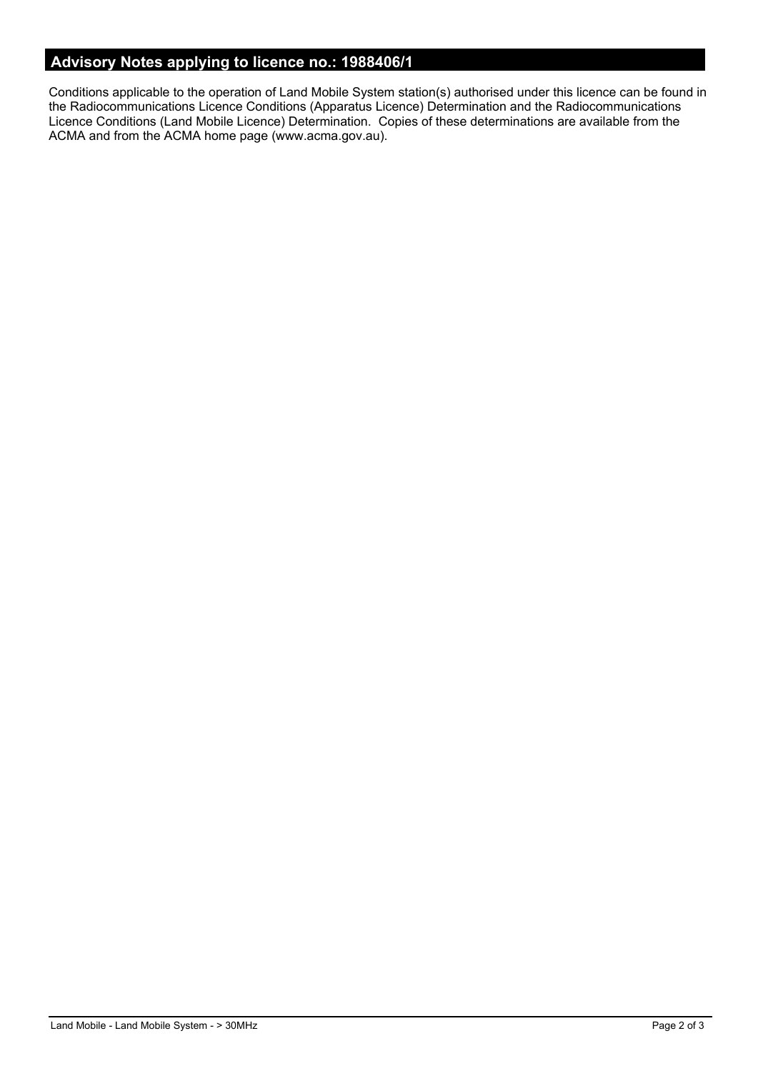# **Advisory Notes applying to licence no.: 1988406/1**

Conditions applicable to the operation of Land Mobile System station(s) authorised under this licence can be found in the Radiocommunications Licence Conditions (Apparatus Licence) Determination and the Radiocommunications Licence Conditions (Land Mobile Licence) Determination. Copies of these determinations are available from the ACMA and from the ACMA home page (www.acma.gov.au).